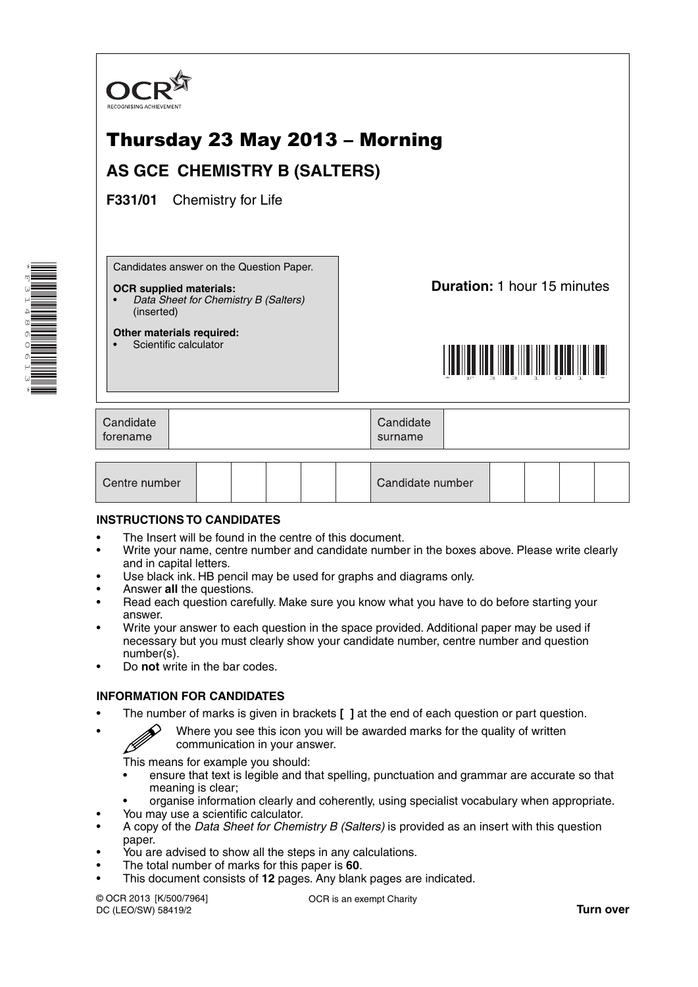

| Candidate number<br>Centre number |  |  |  |
|-----------------------------------|--|--|--|
|-----------------------------------|--|--|--|

# **INSTRUCTIONS TO CANDIDATES**

- The Insert will be found in the centre of this document.
- Write your name, centre number and candidate number in the boxes above. Please write clearly and in capital letters.
- Use black ink. HB pencil may be used for graphs and diagrams only.
- Answer **all** the questions.
- Read each question carefully. Make sure you know what you have to do before starting your answer.
- Write your answer to each question in the space provided. Additional paper may be used if necessary but you must clearly show your candidate number, centre number and question number(s).
- Do **not** write in the bar codes.

# **INFORMATION FOR CANDIDATES**

- The number of marks is given in brackets **[ ]** at the end of each question or part question.
- $\mathscr{D}$  Where you see this icon you will be awarded marks for the quality of written communication in your answer.

This means for example you should:

- ensure that text is legible and that spelling, punctuation and grammar are accurate so that meaning is clear;
- organise information clearly and coherently, using specialist vocabulary when appropriate.
- You may use a scientific calculator.
- A copy of the *Data Sheet for Chemistry B (Salters)* is provided as an insert with this question paper.
- You are advised to show all the steps in any calculations.
- The total number of marks for this paper is **60**.
- This document consists of **12** pages. Any blank pages are indicated.

© OCR 2013 [K/500/7964] DC (LEO/SW) 58419/2

OCR is an exempt Charity

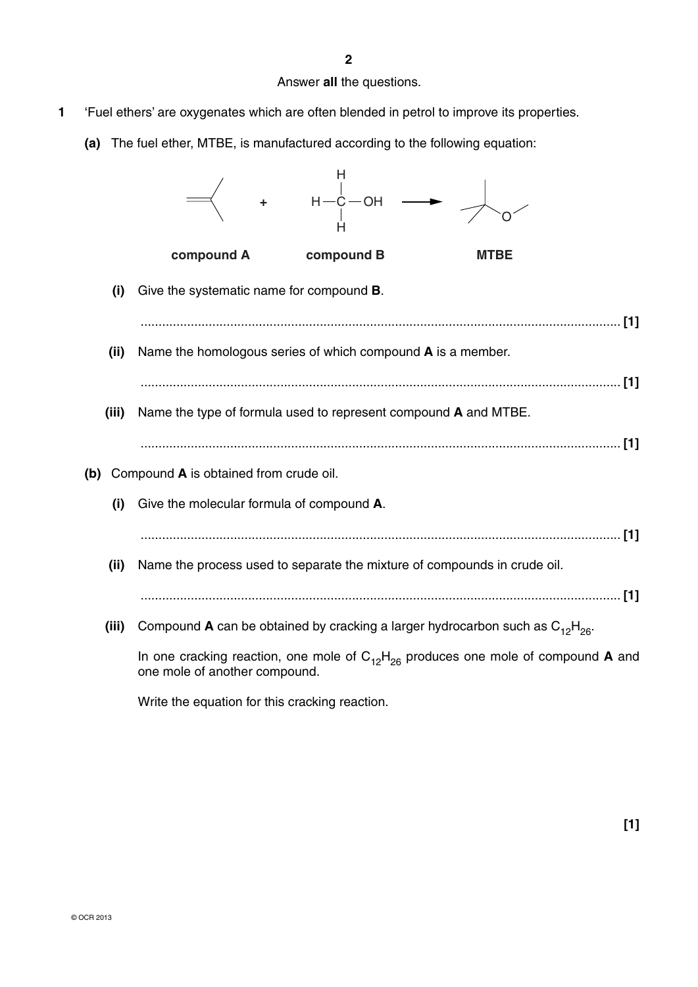Answer **all** the questions.

- **1** 'Fuel ethers' are oxygenates which are often blended in petrol to improve its properties.
	- **(a)** The fuel ether, MTBE, is manufactured according to the following equation:



Write the equation for this cracking reaction.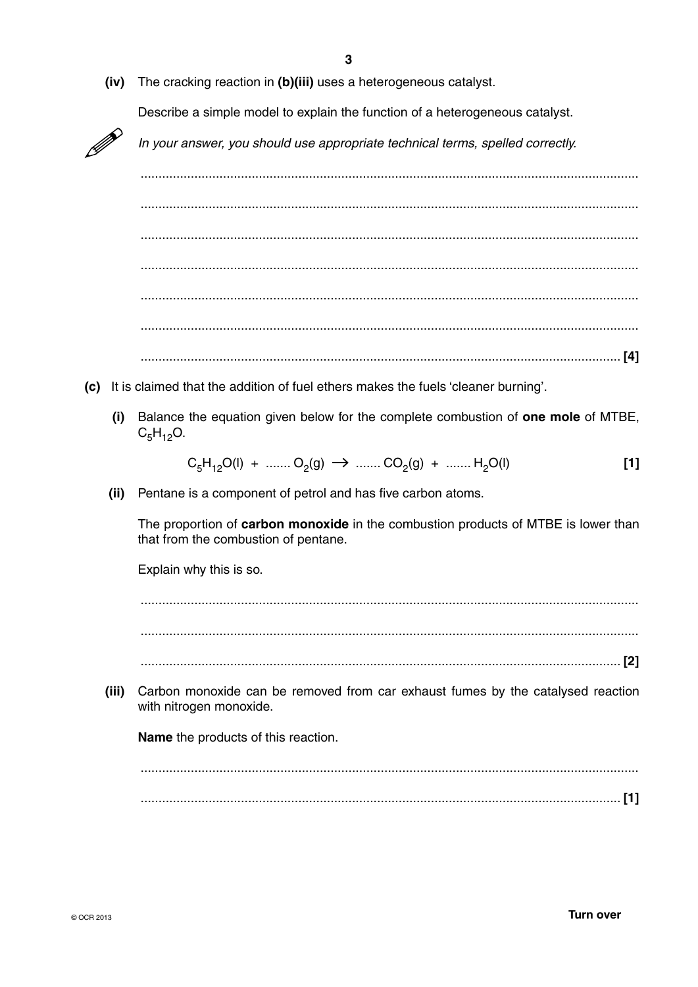| (iv)  | The cracking reaction in (b)(iii) uses a heterogeneous catalyst.                                                           |  |  |  |
|-------|----------------------------------------------------------------------------------------------------------------------------|--|--|--|
|       | Describe a simple model to explain the function of a heterogeneous catalyst.                                               |  |  |  |
|       | In your answer, you should use appropriate technical terms, spelled correctly.                                             |  |  |  |
|       |                                                                                                                            |  |  |  |
|       |                                                                                                                            |  |  |  |
|       |                                                                                                                            |  |  |  |
|       |                                                                                                                            |  |  |  |
|       |                                                                                                                            |  |  |  |
|       |                                                                                                                            |  |  |  |
|       |                                                                                                                            |  |  |  |
| (c)   | It is claimed that the addition of fuel ethers makes the fuels 'cleaner burning'.                                          |  |  |  |
| (i)   | Balance the equation given below for the complete combustion of one mole of MTBE,<br>$C_5H_{12}O.$                         |  |  |  |
|       |                                                                                                                            |  |  |  |
|       | $C_5H_{12}O(l) + \dots + O_2(g) \rightarrow \dots + CO_2(g) + \dots + H_2O(l)$<br>$[1]$                                    |  |  |  |
| (ii)  | Pentane is a component of petrol and has five carbon atoms.                                                                |  |  |  |
|       | The proportion of carbon monoxide in the combustion products of MTBE is lower than<br>that from the combustion of pentane. |  |  |  |
|       | Explain why this is so.                                                                                                    |  |  |  |
|       |                                                                                                                            |  |  |  |
|       |                                                                                                                            |  |  |  |
|       |                                                                                                                            |  |  |  |
| (iii) | Carbon monoxide can be removed from car exhaust fumes by the catalysed reaction<br>with nitrogen monoxide.                 |  |  |  |
|       | <b>Name</b> the products of this reaction.                                                                                 |  |  |  |
|       |                                                                                                                            |  |  |  |
|       |                                                                                                                            |  |  |  |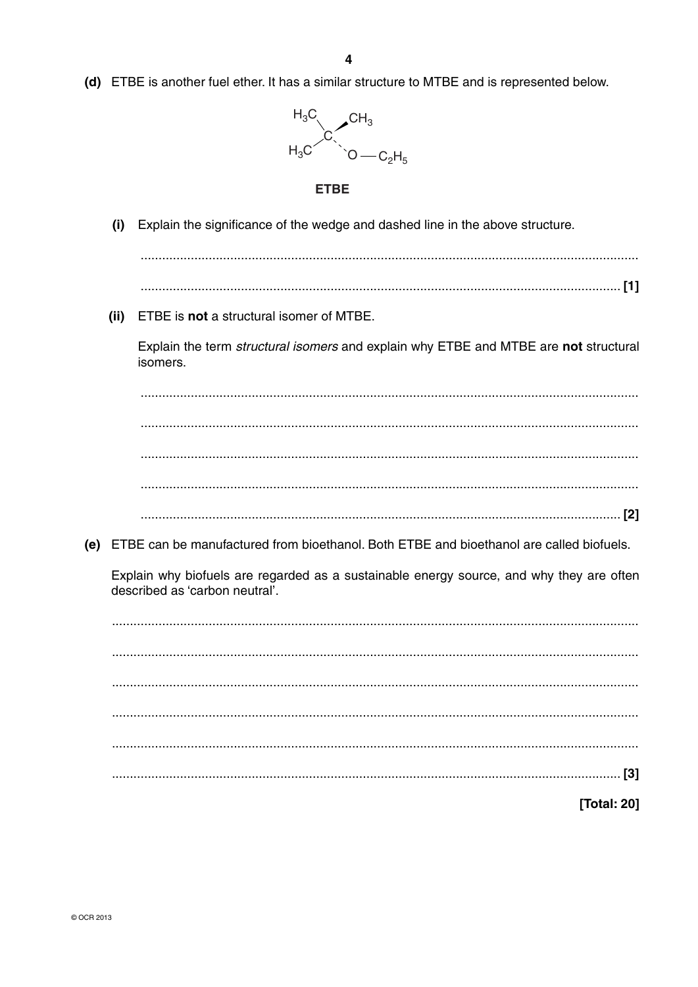(d) ETBE is another fuel ether. It has a similar structure to MTBE and is represented below.



### **FTRF**

- Explain the significance of the wedge and dashed line in the above structure.  $(i)$
- 
- (ii) ETBE is not a structural isomer of MTBE.

Explain the term structural isomers and explain why ETBE and MTBE are not structural isomers.

(e) ETBE can be manufactured from bioethanol. Both ETBE and bioethanol are called biofuels.

Explain why biofuels are regarded as a sustainable energy source, and why they are often described as 'carbon neutral'.

**Total: 201**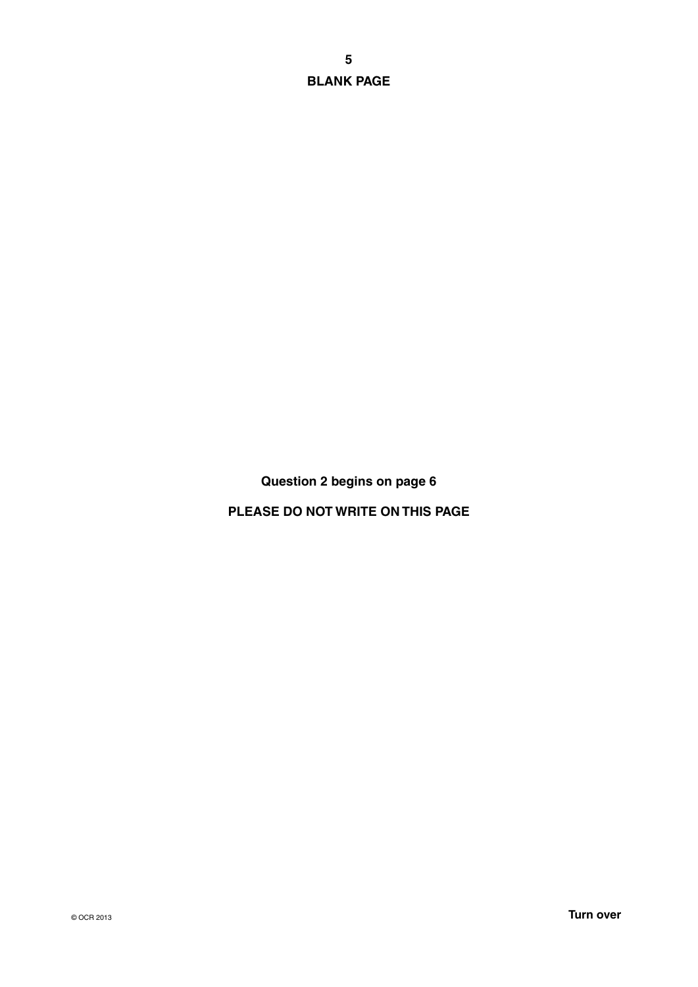**BLANK PAGE**

**Question 2 begins on page 6**

**PLEASE DO NOT WRITE ON THIS PAGE**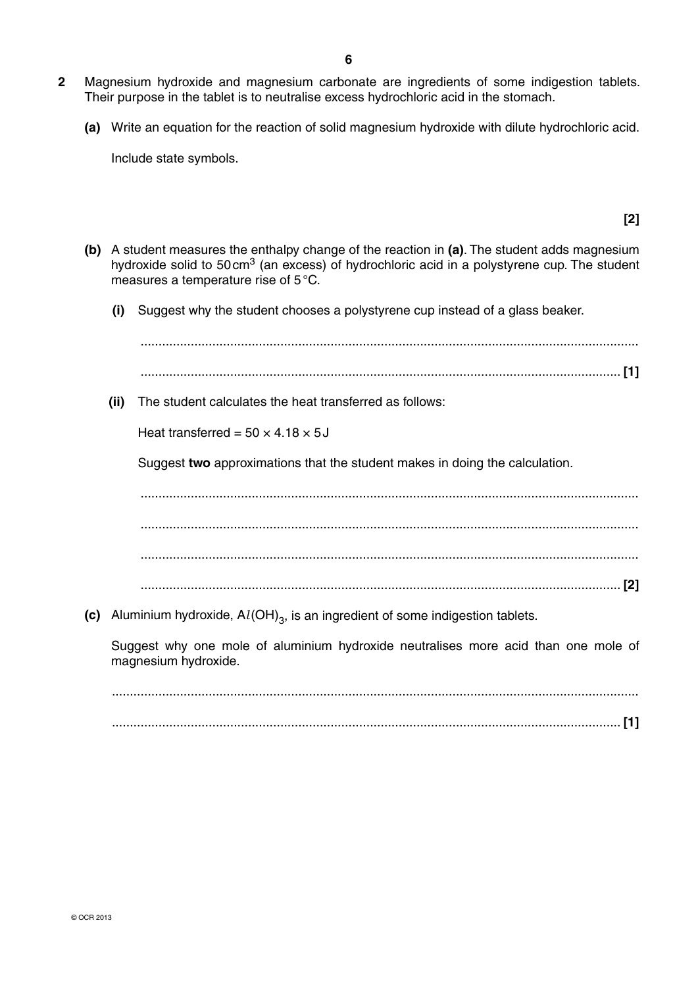- **2** Magnesium hydroxide and magnesium carbonate are ingredients of some indigestion tablets. Their purpose in the tablet is to neutralise excess hydrochloric acid in the stomach.
	- **(a)** Write an equation for the reaction of solid magnesium hydroxide with dilute hydrochloric acid.

Include state symbols.

 **(b)** A student measures the enthalpy change of the reaction in **(a)**. The student adds magnesium hydroxide solid to 50 cm<sup>3</sup> (an excess) of hydrochloric acid in a polystyrene cup. The student measures a temperature rise of 5 °C.

**[2]**

 **(i)** Suggest why the student chooses a polystyrene cup instead of a glass beaker.

|     | (ii) | The student calculates the heat transferred as follows:                                                    |
|-----|------|------------------------------------------------------------------------------------------------------------|
|     |      | Heat transferred = $50 \times 4.18 \times 5J$                                                              |
|     |      | Suggest two approximations that the student makes in doing the calculation.                                |
|     |      |                                                                                                            |
|     |      |                                                                                                            |
|     |      |                                                                                                            |
|     |      |                                                                                                            |
| (c) |      | Aluminium hydroxide, $Al(OH)_{3}$ , is an ingredient of some indigestion tablets.                          |
|     |      | Suggest why one mole of aluminium hydroxide neutralises more acid than one mole of<br>magnesium hydroxide. |
|     |      |                                                                                                            |

 ................................................................................................................................................... .............................................................................................................................................. **[1]**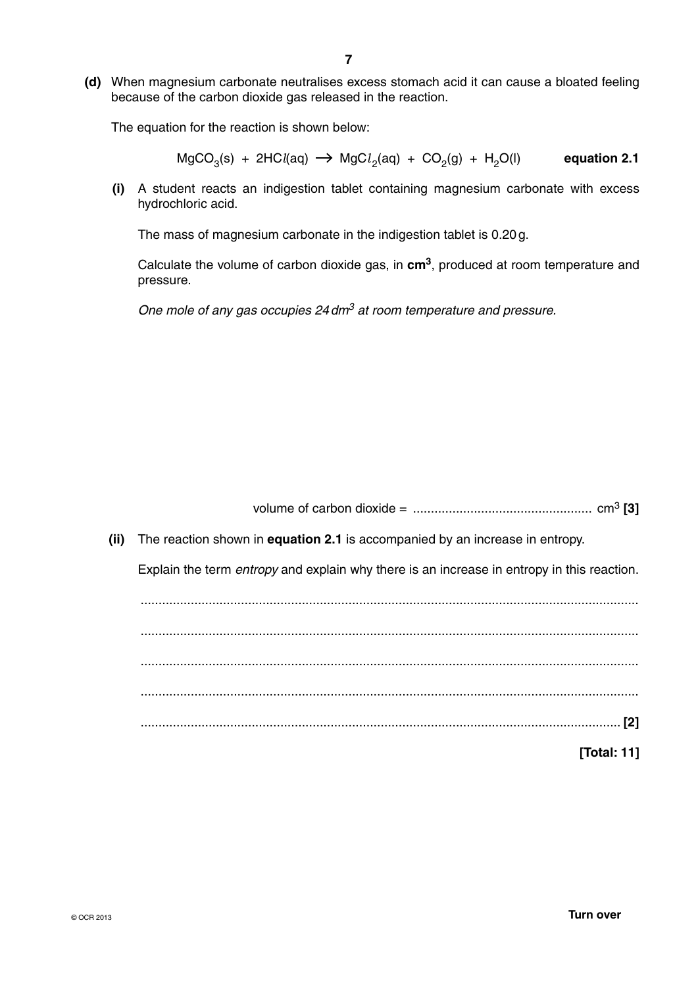**(d)** When magnesium carbonate neutralises excess stomach acid it can cause a bloated feeling because of the carbon dioxide gas released in the reaction.

The equation for the reaction is shown below:

 $MgCO<sub>3</sub>(s) + 2HCI(aq) \rightarrow MgCl<sub>2</sub>(aq) + CO<sub>2</sub>(g) + H<sub>2</sub>O(l)$  equation 2.1

 **(i)** A student reacts an indigestion tablet containing magnesium carbonate with excess hydrochloric acid.

The mass of magnesium carbonate in the indigestion tablet is 0.20 g.

Calculate the volume of carbon dioxide gas, in **cm3**, produced at room temperature and pressure.

*One mole of any gas occupies 24 dm3 at room temperature and pressure.*

| The reaction shown in <b>equation 2.1</b> is accompanied by an increase in entropy.<br>(ii)       |  |
|---------------------------------------------------------------------------------------------------|--|
| Explain the term <i>entropy</i> and explain why there is an increase in entropy in this reaction. |  |
|                                                                                                   |  |
|                                                                                                   |  |
|                                                                                                   |  |
|                                                                                                   |  |
|                                                                                                   |  |
| [Total: 11]                                                                                       |  |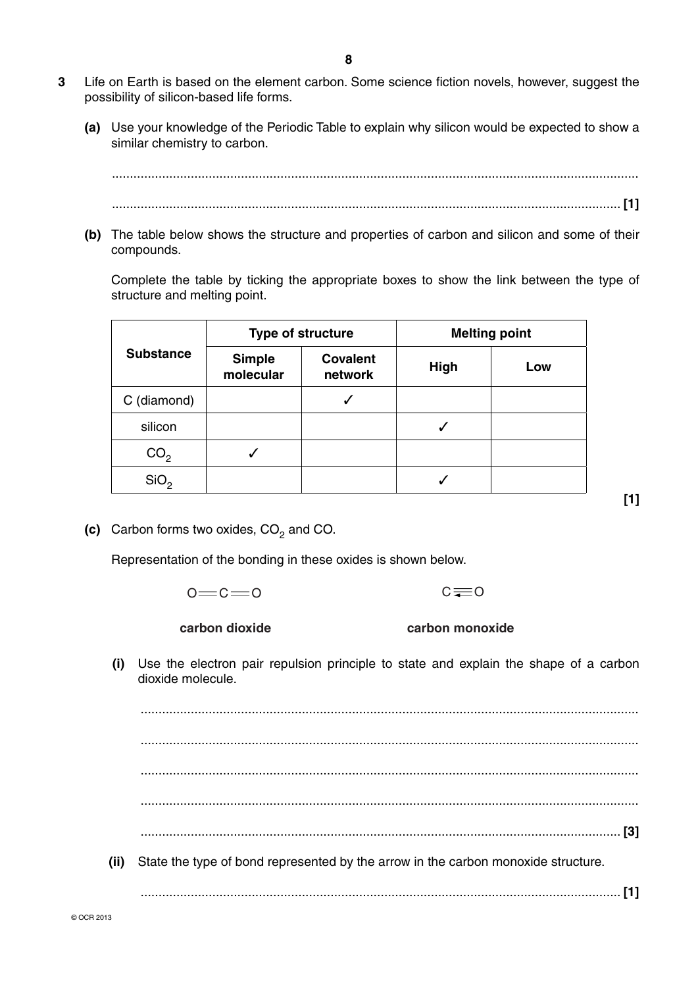- **3** Life on Earth is based on the element carbon. Some science fiction novels, however, suggest the possibility of silicon-based life forms.
	- **(a)** Use your knowledge of the Periodic Table to explain why silicon would be expected to show a similar chemistry to carbon.

 ................................................................................................................................................... .............................................................................................................................................. **[1]**

 **(b)** The table below shows the structure and properties of carbon and silicon and some of their compounds.

Complete the table by ticking the appropriate boxes to show the link between the type of structure and melting point.

|                  |                            | Type of structure          | <b>Melting point</b> |     |
|------------------|----------------------------|----------------------------|----------------------|-----|
| <b>Substance</b> | <b>Simple</b><br>molecular | <b>Covalent</b><br>network | <b>High</b>          | Low |
| C (diamond)      |                            |                            |                      |     |
| silicon          |                            |                            |                      |     |
| CO <sub>2</sub>  |                            |                            |                      |     |
| SiO <sub>2</sub> |                            |                            |                      |     |

**[1]**

**(c)** Carbon forms two oxides, CO<sub>2</sub> and CO.

Representation of the bonding in these oxides is shown below.

 $0 = C = 0$  $C = 0$ 

**carbon dioxide**

**carbon monoxide**

 **(i)** Use the electron pair repulsion principle to state and explain the shape of a carbon dioxide molecule.

 ........................................................................................................................................... ........................................................................................................................................... ........................................................................................................................................... ........................................................................................................................................... ...................................................................................................................................... **[3] (ii)** State the type of bond represented by the arrow in the carbon monoxide structure.

...................................................................................................................................... **[1]**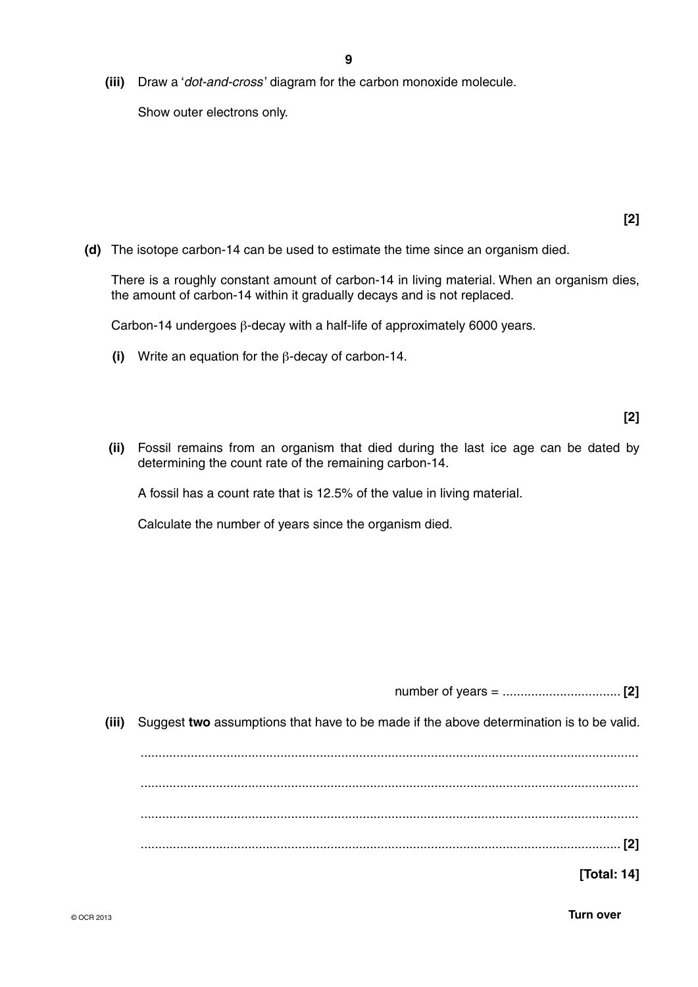**(iii)** Draw a '*dot-and-cross* ' diagram for the carbon monoxide molecule.

Show outer electrons only.

 **(d)** The isotope carbon-14 can be used to estimate the time since an organism died.

There is a roughly constant amount of carbon-14 in living material. When an organism dies, the amount of carbon-14 within it gradually decays and is not replaced.

Carbon-14 undergoes β-decay with a half-life of approximately 6000 years.

 **(i)** Write an equation for the β-decay of carbon-14.

 **(ii)** Fossil remains from an organism that died during the last ice age can be dated by determining the count rate of the remaining carbon-14.

A fossil has a count rate that is 12.5% of the value in living material.

Calculate the number of years since the organism died.

| [4]                                                           |  |
|---------------------------------------------------------------|--|
| at have to be made if the above determination is to be valid. |  |

number of years = ................................. **[2]**

**(iii)** Suggest two assumptions the

 ........................................................................................................................................... ........................................................................................................................................... ........................................................................................................................................... ...................................................................................................................................... **[2]**

**[Total: 14]**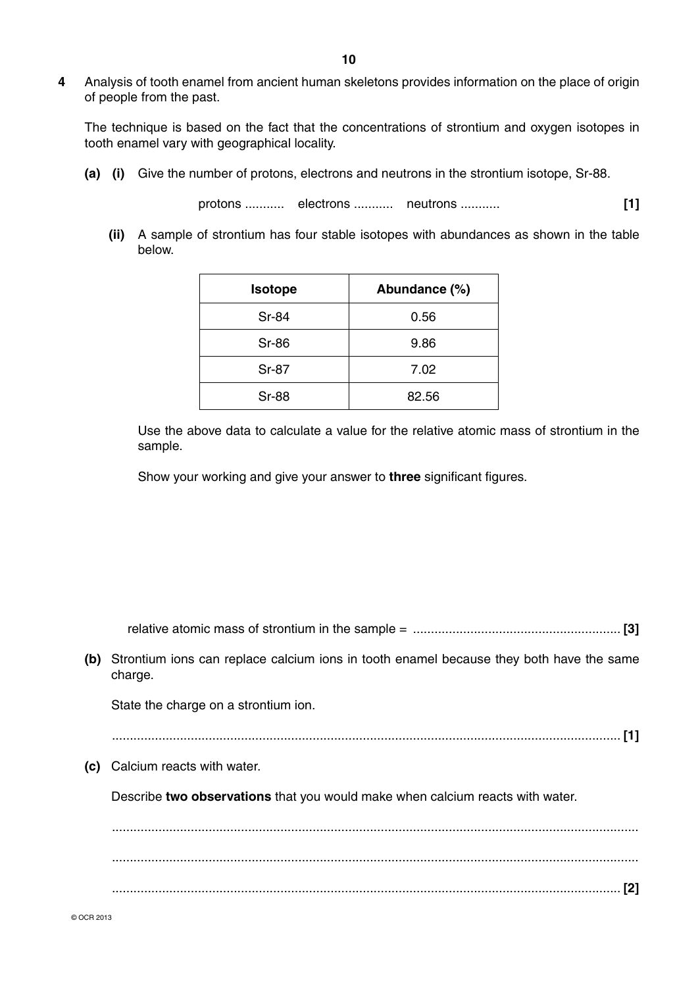**4** Analysis of tooth enamel from ancient human skeletons provides information on the place of origin of people from the past.

The technique is based on the fact that the concentrations of strontium and oxygen isotopes in tooth enamel vary with geographical locality.

 **(a) (i)** Give the number of protons, electrons and neutrons in the strontium isotope, Sr-88.

protons ........... electrons ........... neutrons ........... **[1]**

 **(ii)** A sample of strontium has four stable isotopes with abundances as shown in the table below.

| <b>Isotope</b> | Abundance (%) |
|----------------|---------------|
| <b>Sr-84</b>   | 0.56          |
| <b>Sr-86</b>   | 9.86          |
| <b>Sr-87</b>   | 7.02          |
| <b>Sr-88</b>   | 82.56         |

Use the above data to calculate a value for the relative atomic mass of strontium in the sample.

Show your working and give your answer to **three** significant figures.

| relative atomic mass of strontium in the sample $=$ |  |  |
|-----------------------------------------------------|--|--|
|-----------------------------------------------------|--|--|

 **(b)** Strontium ions can replace calcium ions in tooth enamel because they both have the same charge.

State the charge on a strontium ion.

.............................................................................................................................................. **[1]**

 **(c)** Calcium reacts with water.

Describe **two observations** that you would make when calcium reacts with water.

 ................................................................................................................................................... ................................................................................................................................................... .............................................................................................................................................. **[2]**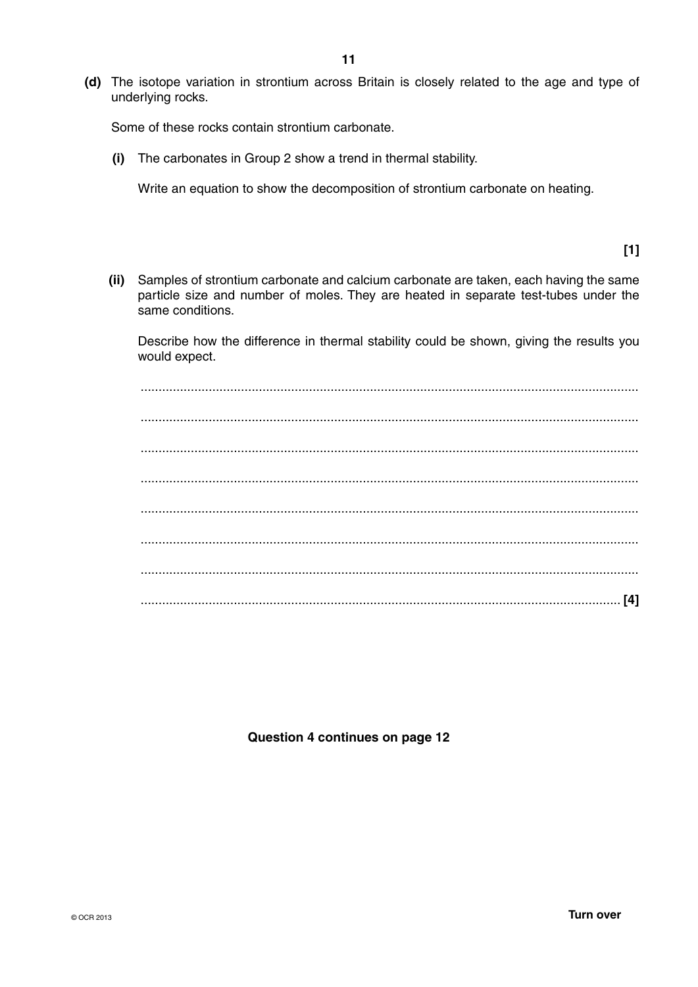**(d)** The isotope variation in strontium across Britain is closely related to the age and type of underlying rocks.

Some of these rocks contain strontium carbonate.

 **(i)** The carbonates in Group 2 show a trend in thermal stability.

Write an equation to show the decomposition of strontium carbonate on heating.

**[1]**

 **(ii)** Samples of strontium carbonate and calcium carbonate are taken, each having the same particle size and number of moles. They are heated in separate test-tubes under the same conditions.

Describe how the difference in thermal stability could be shown, giving the results you would expect.

 ........................................................................................................................................... ........................................................................................................................................... ........................................................................................................................................... ........................................................................................................................................... ........................................................................................................................................... ........................................................................................................................................... ........................................................................................................................................... ...................................................................................................................................... **[4]**

**Question 4 continues on page 12**